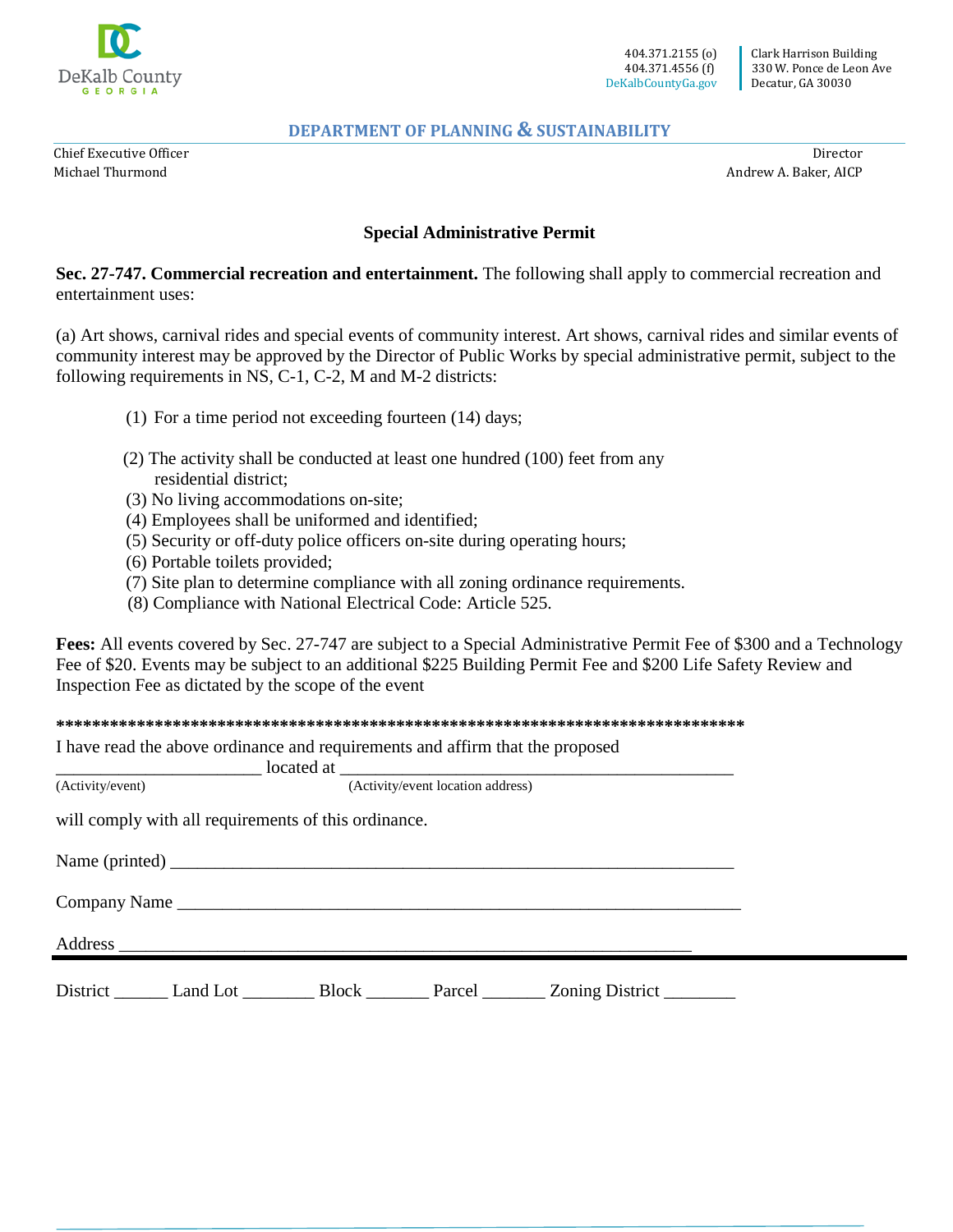

Chief Executive Officer Michael Thurmond

Director Andrew A. Baker, AICP

## **Special Administrative Permit**

**Sec. 27-747. Commercial recreation and entertainment.** The following shall apply to commercial recreation and entertainment uses:

(a) Art shows, carnival rides and special events of community interest. Art shows, carnival rides and similar events of community interest may be approved by the Director of Public Works by special administrative permit, subject to the following requirements in NS, C-1, C-2, M and M-2 districts:

- (1) For a time period not exceeding fourteen (14) days;
- (2) The activity shall be conducted at least one hundred (100) feet from any residential district;
- (3) No living accommodations on-site;
- (4) Employees shall be uniformed and identified;
- (5) Security or off-duty police officers on-site during operating hours;
- (6) Portable toilets provided;
- (7) Site plan to determine compliance with all zoning ordinance requirements.
- (8) Compliance with National Electrical Code: Article 525.

**Fees:** All events covered by Sec. 27-747 are subject to a Special Administrative Permit Fee of \$300 and a Technology Fee of \$20. Events may be subject to an additional \$225 Building Permit Fee and \$200 Life Safety Review and Inspection Fee as dictated by the scope of the event

**\*\*\*\*\*\*\*\*\*\*\*\*\*\*\*\*\*\*\*\*\*\*\*\*\*\*\*\*\*\*\*\*\*\*\*\*\*\*\*\*\*\*\*\*\*\*\*\*\*\*\*\*\*\*\*\*\*\*\*\*\*\*\*\*\*\*\*\*\*\*\*\*\*\*\*\*\*** 

\_\_\_\_\_\_\_\_\_\_\_\_\_\_\_\_\_\_\_\_\_\_\_ located at \_\_\_\_\_\_\_\_\_\_\_\_\_\_\_\_\_\_\_\_\_\_\_\_\_\_\_\_\_\_\_\_\_\_\_\_\_\_\_\_\_\_\_\_

I have read the above ordinance and requirements and affirm that the proposed

(Activity/event) (Activity/event location address)

will comply with all requirements of this ordinance.

| District Land Lot Block<br>Parcel _________ Zoning District _________ |  |
|-----------------------------------------------------------------------|--|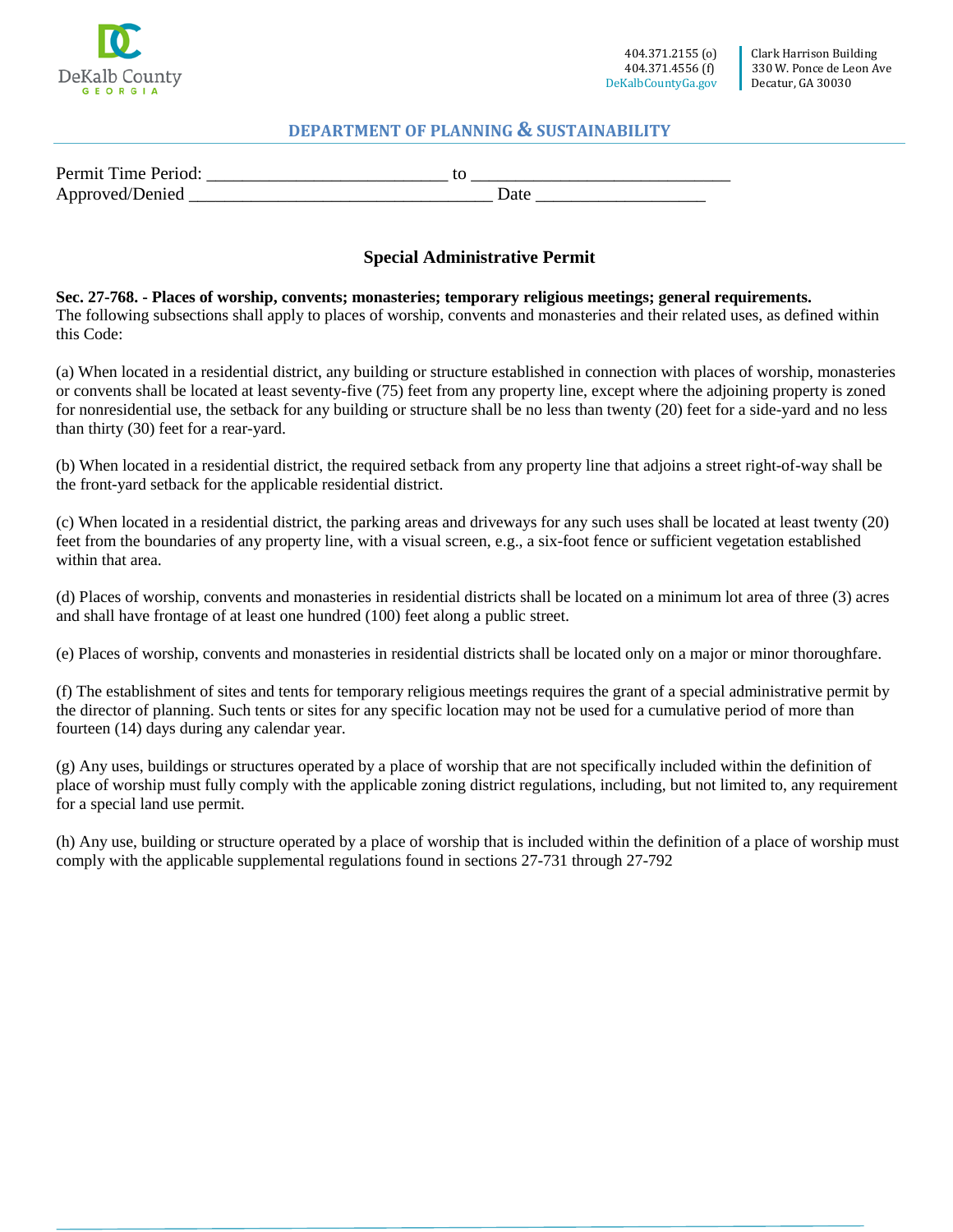

| Permit Time Period: |  |
|---------------------|--|
| Approved/Denied     |  |

# **Special Administrative Permit**

**Sec. 27-768. - Places of worship, convents; monasteries; temporary religious meetings; general requirements.**  The following subsections shall apply to places of worship, convents and monasteries and their related uses, as defined within this Code:

(a) When located in a residential district, any building or structure established in connection with places of worship, monasteries or convents shall be located at least seventy-five (75) feet from any property line, except where the adjoining property is zoned for nonresidential use, the setback for any building or structure shall be no less than twenty (20) feet for a side-yard and no less than thirty (30) feet for a rear-yard.

(b) When located in a residential district, the required setback from any property line that adjoins a street right-of-way shall be the front-yard setback for the applicable residential district.

(c) When located in a residential district, the parking areas and driveways for any such uses shall be located at least twenty (20) feet from the boundaries of any property line, with a visual screen, e.g., a six-foot fence or sufficient vegetation established within that area.

(d) Places of worship, convents and monasteries in residential districts shall be located on a minimum lot area of three (3) acres and shall have frontage of at least one hundred (100) feet along a public street.

(e) Places of worship, convents and monasteries in residential districts shall be located only on a major or minor thoroughfare.

(f) The establishment of sites and tents for temporary religious meetings requires the grant of a special administrative permit by the director of planning. Such tents or sites for any specific location may not be used for a cumulative period of more than fourteen (14) days during any calendar year.

(g) Any uses, buildings or structures operated by a place of worship that are not specifically included within the definition of place of worship must fully comply with the applicable zoning district regulations, including, but not limited to, any requirement for a special land use permit.

(h) Any use, building or structure operated by a place of worship that is included within the definition of a place of worship must comply with the applicable supplemental regulations found in sections 27-731 through 27-792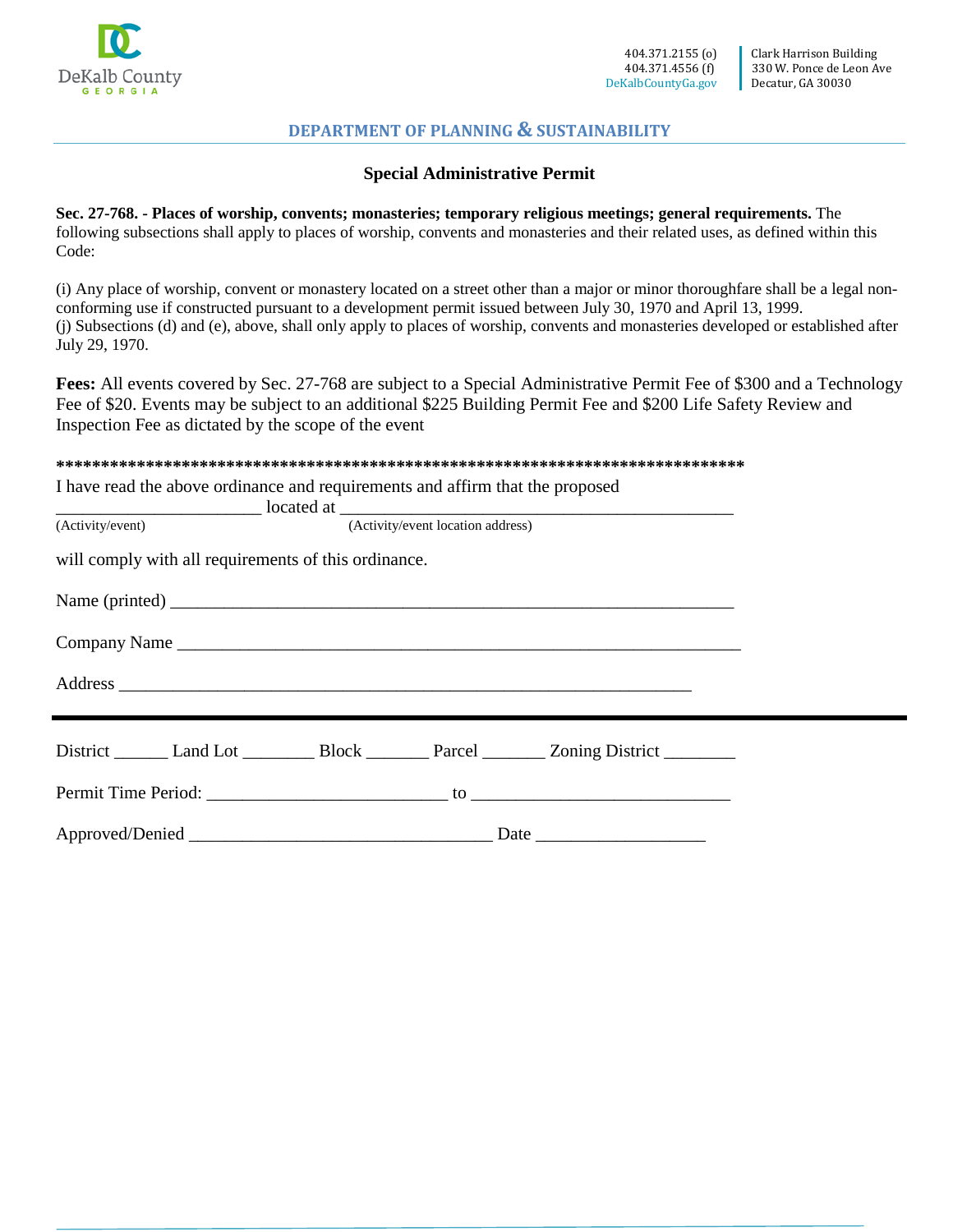

#### **Special Administrative Permit**

**Sec. 27-768. - Places of worship, convents; monasteries; temporary religious meetings; general requirements.** The following subsections shall apply to places of worship, convents and monasteries and their related uses, as defined within this Code:

(i) Any place of worship, convent or monastery located on a street other than a major or minor thoroughfare shall be a legal nonconforming use if constructed pursuant to a development permit issued between July 30, 1970 and April 13, 1999. (j) Subsections (d) and (e), above, shall only apply to places of worship, convents and monasteries developed or established after July 29, 1970.

**Fees:** All events covered by Sec. 27-768 are subject to a Special Administrative Permit Fee of \$300 and a Technology Fee of \$20. Events may be subject to an additional \$225 Building Permit Fee and \$200 Life Safety Review and Inspection Fee as dictated by the scope of the event

**\*\*\*\*\*\*\*\*\*\*\*\*\*\*\*\*\*\*\*\*\*\*\*\*\*\*\*\*\*\*\*\*\*\*\*\*\*\*\*\*\*\*\*\*\*\*\*\*\*\*\*\*\*\*\*\*\*\*\*\*\*\*\*\*\*\*\*\*\*\*\*\*\*\*\*\*\*** 

I have read the above ordinance and requirements and affirm that the proposed

|                                                                                                | (Activity/event) (Activity/event location address) |  |  |  |  |
|------------------------------------------------------------------------------------------------|----------------------------------------------------|--|--|--|--|
| will comply with all requirements of this ordinance.                                           |                                                    |  |  |  |  |
|                                                                                                |                                                    |  |  |  |  |
| Company Name                                                                                   |                                                    |  |  |  |  |
|                                                                                                |                                                    |  |  |  |  |
| District _______ Land Lot __________ Block _________ Parcel ________ Zoning District _________ |                                                    |  |  |  |  |
|                                                                                                |                                                    |  |  |  |  |
|                                                                                                |                                                    |  |  |  |  |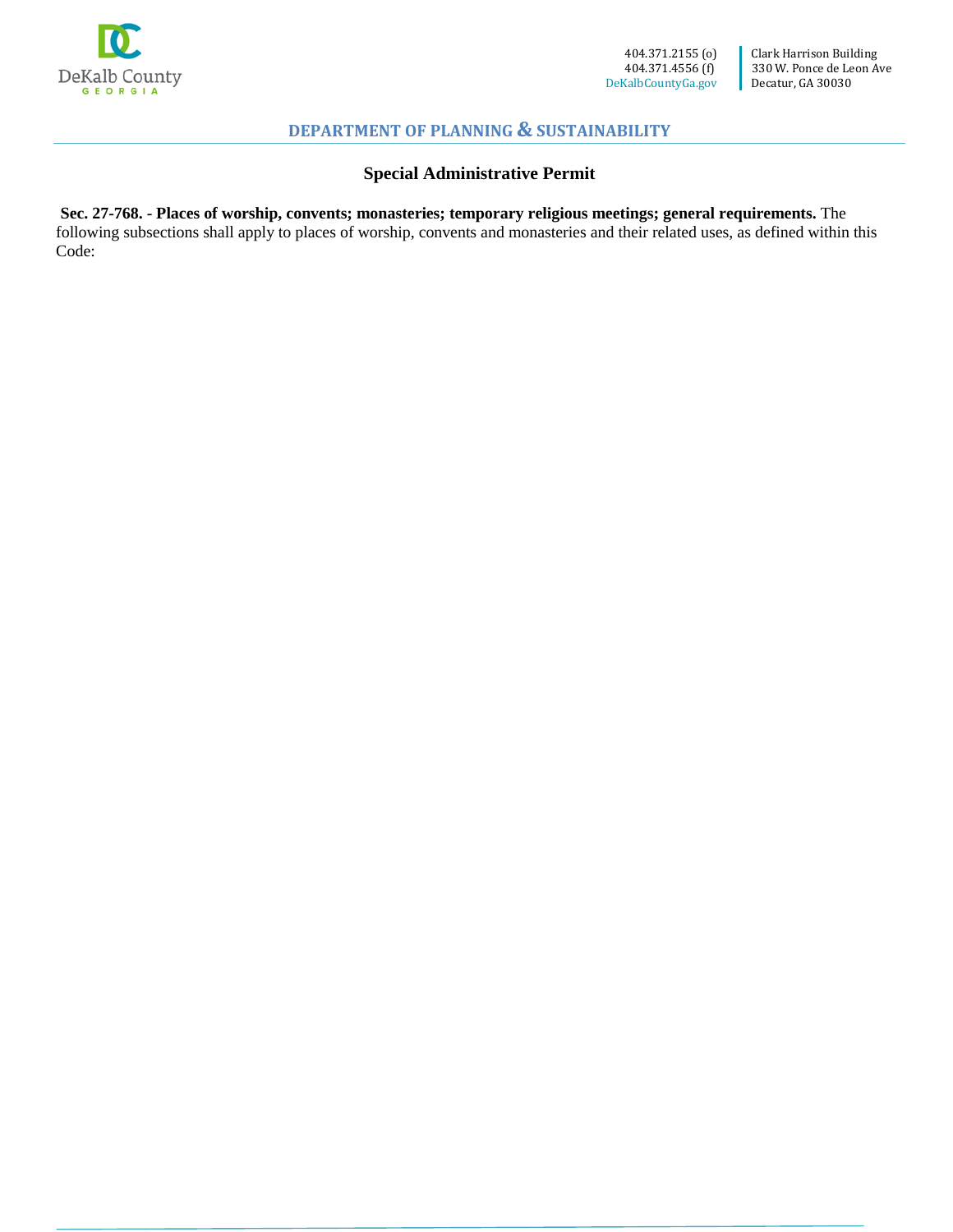

# **Special Administrative Permit**

**Sec. 27-768. - Places of worship, convents; monasteries; temporary religious meetings; general requirements.** The following subsections shall apply to places of worship, convents and monasteries and their related uses, as defined within this Code: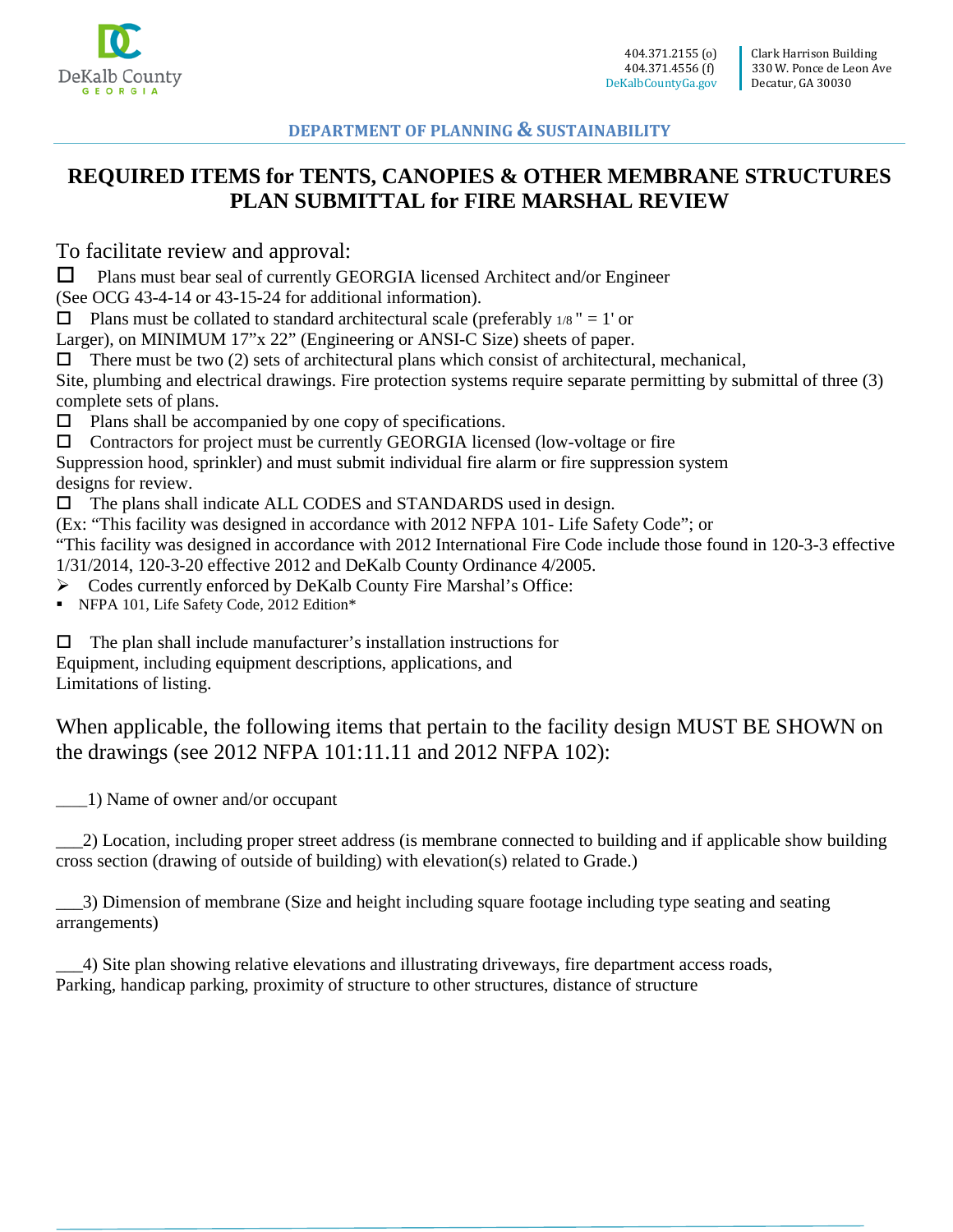

# **REQUIRED ITEMS for TENTS, CANOPIES & OTHER MEMBRANE STRUCTURES PLAN SUBMITTAL for FIRE MARSHAL REVIEW**

To facilitate review and approval:

 $\Box$  Plans must bear seal of currently GEORGIA licensed Architect and/or Engineer

(See OCG 43-4-14 or 43-15-24 for additional information).

 $\Box$  Plans must be collated to standard architectural scale (preferably 1/8" = 1' or

Larger), on MINIMUM 17"x 22" (Engineering or ANSI-C Size) sheets of paper.

 $\Box$  There must be two (2) sets of architectural plans which consist of architectural, mechanical,

Site, plumbing and electrical drawings. Fire protection systems require separate permitting by submittal of three (3) complete sets of plans.

 $\Box$  Plans shall be accompanied by one copy of specifications.

 $\Box$  Contractors for project must be currently GEORGIA licensed (low-voltage or fire

Suppression hood, sprinkler) and must submit individual fire alarm or fire suppression system designs for review.

 $\Box$  The plans shall indicate ALL CODES and STANDARDS used in design.

(Ex: "This facility was designed in accordance with 2012 NFPA 101- Life Safety Code"; or

"This facility was designed in accordance with 2012 International Fire Code include those found in 120-3-3 effective 1/31/2014, 120-3-20 effective 2012 and DeKalb County Ordinance 4/2005.

Codes currently enforced by DeKalb County Fire Marshal's Office:

NFPA 101, Life Safety Code, 2012 Edition\*

 $\Box$  The plan shall include manufacturer's installation instructions for Equipment, including equipment descriptions, applications, and Limitations of listing.

When applicable, the following items that pertain to the facility design MUST BE SHOWN on the drawings (see 2012 NFPA 101:11.11 and 2012 NFPA 102):

\_\_\_\_1) Name of owner and/or occupant

\_\_\_2) Location, including proper street address (is membrane connected to building and if applicable show building cross section (drawing of outside of building) with elevation(s) related to Grade.)

\_\_\_3) Dimension of membrane (Size and height including square footage including type seating and seating arrangements)

\_\_\_4) Site plan showing relative elevations and illustrating driveways, fire department access roads, Parking, handicap parking, proximity of structure to other structures, distance of structure